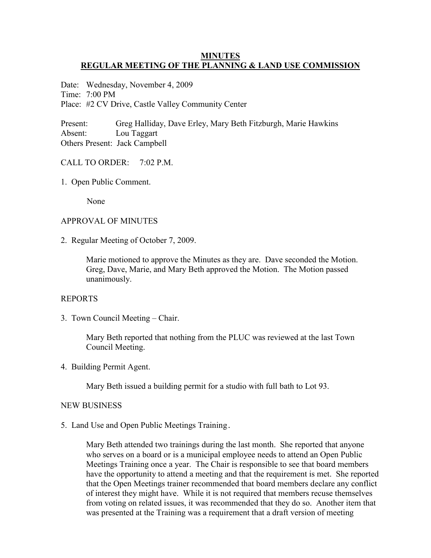## **MINUTES REGULAR MEETING OF THE PLANNING & LAND USE COMMISSION**

Date: Wednesday, November 4, 2009 Time: 7:00 PM Place: #2 CV Drive, Castle Valley Community Center

Present: Greg Halliday, Dave Erley, Mary Beth Fitzburgh, Marie Hawkins Absent: Lou Taggart Others Present: Jack Campbell

## CALL TO ORDER: 7:02 P.M.

1. Open Public Comment.

None

## APPROVAL OF MINUTES

2. Regular Meeting of October 7, 2009.

Marie motioned to approve the Minutes as they are. Dave seconded the Motion. Greg, Dave, Marie, and Mary Beth approved the Motion. The Motion passed unanimously.

## REPORTS

3. Town Council Meeting – Chair.

Mary Beth reported that nothing from the PLUC was reviewed at the last Town Council Meeting.

4. Building Permit Agent.

Mary Beth issued a building permit for a studio with full bath to Lot 93.

#### NEW BUSINESS

5. Land Use and Open Public Meetings Training.

Mary Beth attended two trainings during the last month. She reported that anyone who serves on a board or is a municipal employee needs to attend an Open Public Meetings Training once a year. The Chair is responsible to see that board members have the opportunity to attend a meeting and that the requirement is met. She reported that the Open Meetings trainer recommended that board members declare any conflict of interest they might have. While it is not required that members recuse themselves from voting on related issues, it was recommended that they do so. Another item that was presented at the Training was a requirement that a draft version of meeting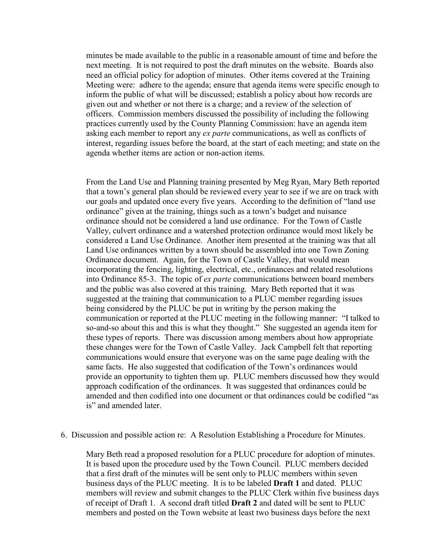minutes be made available to the public in a reasonable amount of time and before the next meeting. It is not required to post the draft minutes on the website. Boards also need an official policy for adoption of minutes. Other items covered at the Training Meeting were: adhere to the agenda; ensure that agenda items were specific enough to inform the public of what will be discussed; establish a policy about how records are given out and whether or not there is a charge; and a review of the selection of officers. Commission members discussed the possibility of including the following practices currently used by the County Planning Commission: have an agenda item asking each member to report any *ex parte* communications, as well as conflicts of interest, regarding issues before the board, at the start of each meeting; and state on the agenda whether items are action or non-action items.

From the Land Use and Planning training presented by Meg Ryan, Mary Beth reported that a town's general plan should be reviewed every year to see if we are on track with our goals and updated once every five years. According to the definition of "land use ordinance" given at the training, things such as a town's budget and nuisance ordinance should not be considered a land use ordinance. For the Town of Castle Valley, culvert ordinance and a watershed protection ordinance would most likely be considered a Land Use Ordinance. Another item presented at the training was that all Land Use ordinances written by a town should be assembled into one Town Zoning Ordinance document. Again, for the Town of Castle Valley, that would mean incorporating the fencing, lighting, electrical, etc., ordinances and related resolutions into Ordinance 85-3. The topic of *ex parte* communications between board members and the public was also covered at this training. Mary Beth reported that it was suggested at the training that communication to a PLUC member regarding issues being considered by the PLUC be put in writing by the person making the communication or reported at the PLUC meeting in the following manner: "I talked to so-and-so about this and this is what they thought." She suggested an agenda item for these types of reports. There was discussion among members about how appropriate these changes were for the Town of Castle Valley. Jack Campbell felt that reporting communications would ensure that everyone was on the same page dealing with the same facts. He also suggested that codification of the Town's ordinances would provide an opportunity to tighten them up. PLUC members discussed how they would approach codification of the ordinances. It was suggested that ordinances could be amended and then codified into one document or that ordinances could be codified "as is" and amended later

### 6. Discussion and possible action re: A Resolution Establishing a Procedure for Minutes.

Mary Beth read a proposed resolution for a PLUC procedure for adoption of minutes. It is based upon the procedure used by the Town Council. PLUC members decided that a first draft of the minutes will be sent only to PLUC members within seven business days of the PLUC meeting. It is to be labeled **Draft 1** and dated. PLUC members will review and submit changes to the PLUC Clerk within five business days of receipt of Draft 1. A second draft titled **Draft 2** and dated will be sent to PLUC members and posted on the Town website at least two business days before the next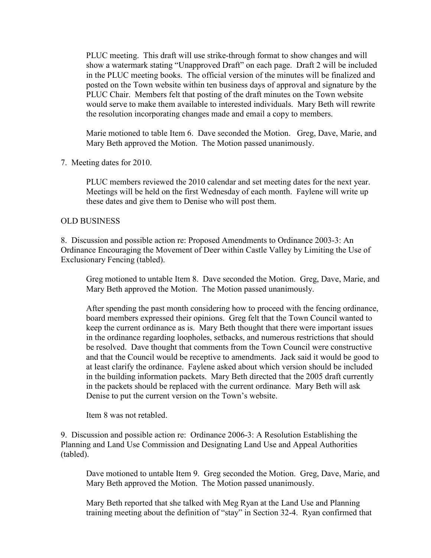PLUC meeting. This draft will use strike-through format to show changes and will show a watermark stating "Unapproved Draft" on each page. Draft 2 will be included in the PLUC meeting books. The official version of the minutes will be finalized and posted on the Town website within ten business days of approval and signature by the PLUC Chair. Members felt that posting of the draft minutes on the Town website would serve to make them available to interested individuals. Mary Beth will rewrite the resolution incorporating changes made and email a copy to members.

Marie motioned to table Item 6. Dave seconded the Motion. Greg, Dave, Marie, and Mary Beth approved the Motion. The Motion passed unanimously.

7. Meeting dates for 2010.

PLUC members reviewed the 2010 calendar and set meeting dates for the next year. Meetings will be held on the first Wednesday of each month. Faylene will write up these dates and give them to Denise who will post them.

# OLD BUSINESS

8. Discussion and possible action re: Proposed Amendments to Ordinance 2003-3: An Ordinance Encouraging the Movement of Deer within Castle Valley by Limiting the Use of Exclusionary Fencing (tabled).

Greg motioned to untable Item 8. Dave seconded the Motion. Greg, Dave, Marie, and Mary Beth approved the Motion. The Motion passed unanimously.

After spending the past month considering how to proceed with the fencing ordinance, board members expressed their opinions. Greg felt that the Town Council wanted to keep the current ordinance as is. Mary Beth thought that there were important issues in the ordinance regarding loopholes, setbacks, and numerous restrictions that should be resolved. Dave thought that comments from the Town Council were constructive and that the Council would be receptive to amendments. Jack said it would be good to at least clarify the ordinance. Faylene asked about which version should be included in the building information packets. Mary Beth directed that the 2005 draft currently in the packets should be replaced with the current ordinance. Mary Beth will ask Denise to put the current version on the Town's website.

Item 8 was not retabled.

9. Discussion and possible action re: Ordinance 2006-3: A Resolution Establishing the Planning and Land Use Commission and Designating Land Use and Appeal Authorities (tabled).

Dave motioned to untable Item 9. Greg seconded the Motion. Greg, Dave, Marie, and Mary Beth approved the Motion. The Motion passed unanimously.

Mary Beth reported that she talked with Meg Ryan at the Land Use and Planning training meeting about the definition of "stay" in Section 32-4. Ryan confirmed that